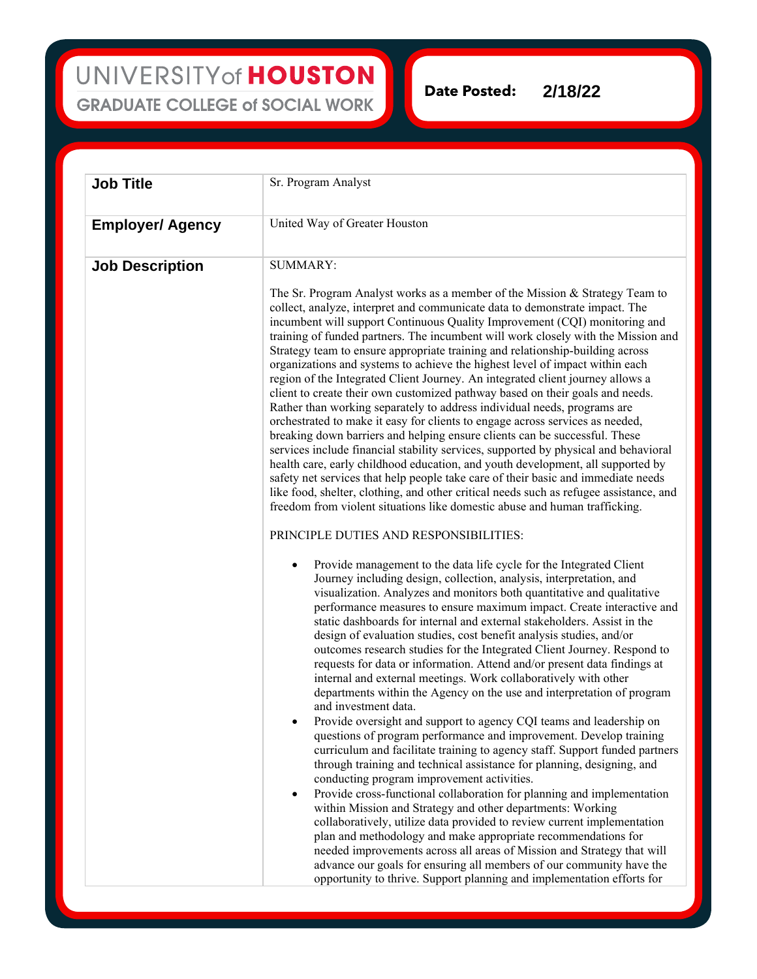UNIVERSITY of HOUSTON **GRADUATE COLLEGE of SOCIAL WORK** 

**2/18/22Date Posted:** 

| <b>Job Title</b>        | Sr. Program Analyst                                                                                                                                                                                                                                                                                                                                                                                                                                                                                                                                                                                                                                                                                                                                                                                                                                                                                                                                                                                                                                                                                                                                                                                                                                                                                                                                                                                                                                                                                                                                                                                                                                                                                                                                                                                                                                                                                                                                                                                                                                                                                                                                                                                                                                                                                                                                       |
|-------------------------|-----------------------------------------------------------------------------------------------------------------------------------------------------------------------------------------------------------------------------------------------------------------------------------------------------------------------------------------------------------------------------------------------------------------------------------------------------------------------------------------------------------------------------------------------------------------------------------------------------------------------------------------------------------------------------------------------------------------------------------------------------------------------------------------------------------------------------------------------------------------------------------------------------------------------------------------------------------------------------------------------------------------------------------------------------------------------------------------------------------------------------------------------------------------------------------------------------------------------------------------------------------------------------------------------------------------------------------------------------------------------------------------------------------------------------------------------------------------------------------------------------------------------------------------------------------------------------------------------------------------------------------------------------------------------------------------------------------------------------------------------------------------------------------------------------------------------------------------------------------------------------------------------------------------------------------------------------------------------------------------------------------------------------------------------------------------------------------------------------------------------------------------------------------------------------------------------------------------------------------------------------------------------------------------------------------------------------------------------------------|
| <b>Employer/ Agency</b> | United Way of Greater Houston                                                                                                                                                                                                                                                                                                                                                                                                                                                                                                                                                                                                                                                                                                                                                                                                                                                                                                                                                                                                                                                                                                                                                                                                                                                                                                                                                                                                                                                                                                                                                                                                                                                                                                                                                                                                                                                                                                                                                                                                                                                                                                                                                                                                                                                                                                                             |
| <b>Job Description</b>  | <b>SUMMARY:</b><br>The Sr. Program Analyst works as a member of the Mission & Strategy Team to<br>collect, analyze, interpret and communicate data to demonstrate impact. The<br>incumbent will support Continuous Quality Improvement (CQI) monitoring and<br>training of funded partners. The incumbent will work closely with the Mission and<br>Strategy team to ensure appropriate training and relationship-building across<br>organizations and systems to achieve the highest level of impact within each<br>region of the Integrated Client Journey. An integrated client journey allows a<br>client to create their own customized pathway based on their goals and needs.<br>Rather than working separately to address individual needs, programs are<br>orchestrated to make it easy for clients to engage across services as needed,<br>breaking down barriers and helping ensure clients can be successful. These<br>services include financial stability services, supported by physical and behavioral<br>health care, early childhood education, and youth development, all supported by<br>safety net services that help people take care of their basic and immediate needs<br>like food, shelter, clothing, and other critical needs such as refugee assistance, and<br>freedom from violent situations like domestic abuse and human trafficking.<br>PRINCIPLE DUTIES AND RESPONSIBILITIES:<br>Provide management to the data life cycle for the Integrated Client<br>Journey including design, collection, analysis, interpretation, and<br>visualization. Analyzes and monitors both quantitative and qualitative<br>performance measures to ensure maximum impact. Create interactive and<br>static dashboards for internal and external stakeholders. Assist in the<br>design of evaluation studies, cost benefit analysis studies, and/or<br>outcomes research studies for the Integrated Client Journey. Respond to<br>requests for data or information. Attend and/or present data findings at<br>internal and external meetings. Work collaboratively with other<br>departments within the Agency on the use and interpretation of program<br>and investment data.<br>Provide oversight and support to agency CQI teams and leadership on<br>$\bullet$<br>questions of program performance and improvement. Develop training |
|                         | curriculum and facilitate training to agency staff. Support funded partners<br>through training and technical assistance for planning, designing, and<br>conducting program improvement activities.<br>Provide cross-functional collaboration for planning and implementation<br>٠<br>within Mission and Strategy and other departments: Working                                                                                                                                                                                                                                                                                                                                                                                                                                                                                                                                                                                                                                                                                                                                                                                                                                                                                                                                                                                                                                                                                                                                                                                                                                                                                                                                                                                                                                                                                                                                                                                                                                                                                                                                                                                                                                                                                                                                                                                                          |

collaboratively, utilize data provided to review current implementation plan and methodology and make appropriate recommendations for needed improvements across all areas of Mission and Strategy that will advance our goals for ensuring all members of our community have the opportunity to thrive. Support planning and implementation efforts for